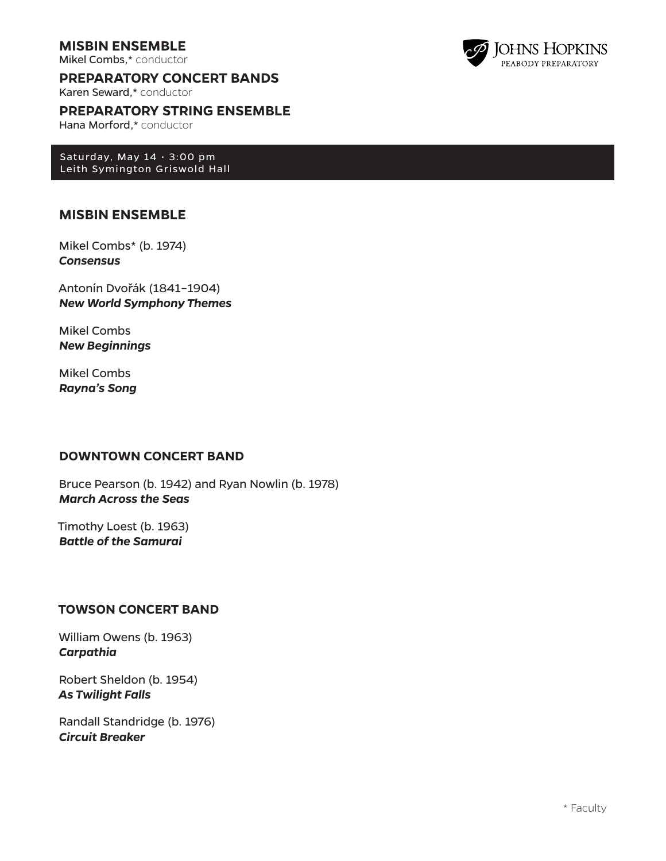## **MISBIN ENSEMBLE**

Mikel Combs,\* conductor

**PREPARATORY CONCERT BANDS**

Karen Seward,\* conductor

**PREPARATORY STRING ENSEMBLE**

Hana Morford,\* conductor

Saturday, May  $14 \cdot 3:00$  pm Leith Symington Griswold Hall

## **MISBIN ENSEMBLE**

Mikel Combs\* (b. 1974) *Consensus*

Antonín Dvořák (1841–1904) *New World Symphony Themes*

Mikel Combs *New Beginnings*

Mikel Combs *Rayna's Song*

### **DOWNTOWN CONCERT BAND**

Bruce Pearson (b. 1942) and Ryan Nowlin (b. 1978) *March Across the Seas* 

Timothy Loest (b. 1963) *Battle of the Samurai*

## **TOWSON CONCERT BAND**

William Owens (b. 1963) *Carpathia*

Robert Sheldon (b. 1954) *As Twilight Falls*

Randall Standridge (b. 1976) *Circuit Breaker*

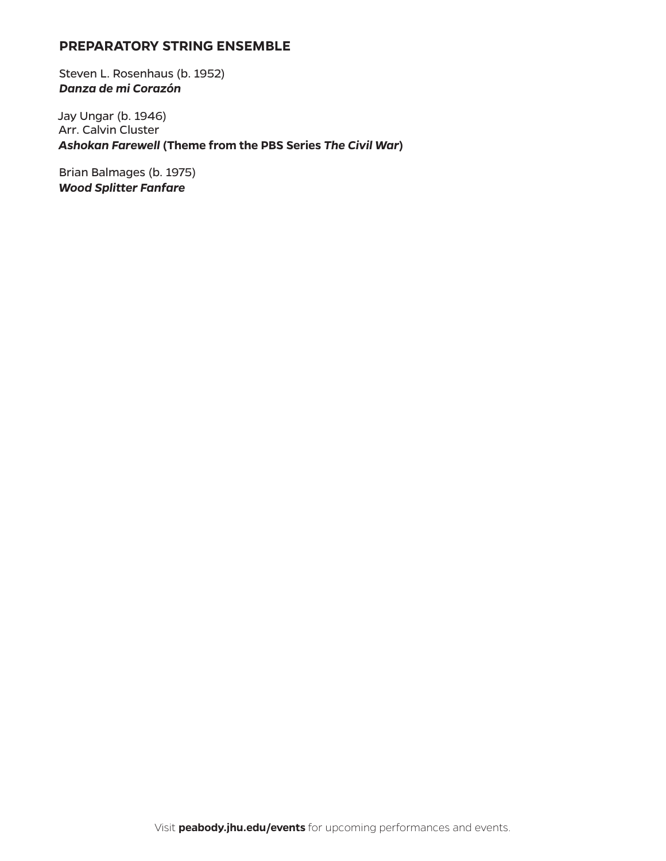## **PREPARATORY STRING ENSEMBLE**

Steven L. Rosenhaus (b. 1952) *Danza de mi Corazón*

Jay Ungar (b. 1946) Arr. Calvin Cluster *Ashokan Farewell* **(Theme from the PBS Series** *The Civil War***)**

Brian Balmages (b. 1975) *Wood Splitter Fanfare*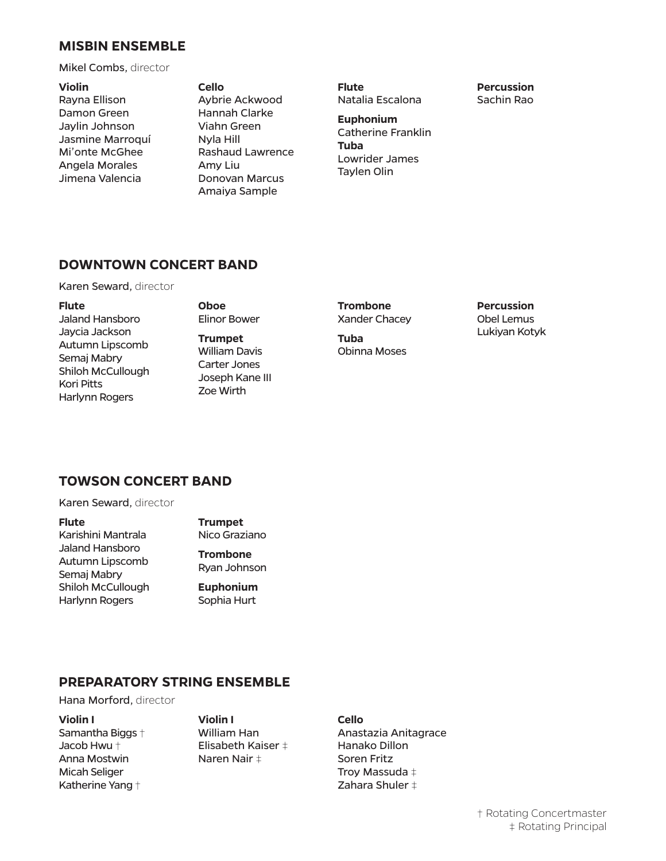### **MISBIN ENSEMBLE**

Mikel Combs, director

**Violin** Rayna Ellison Damon Green Jaylin Johnson Jasmine Marroquí Mi'onte McGhee Angela Morales Jimena Valencia

**Cello** Aybrie Ackwood Hannah Clarke Viahn Green Nyla Hill Rashaud Lawrence Amy Liu Donovan Marcus Amaiya Sample

**Flute** Natalia Escalona

**Euphonium** Catherine Franklin **Tuba** Lowrider James Taylen Olin

## **DOWNTOWN CONCERT BAND**

Karen Seward, director

#### **Flute**

Jaland Hansboro Jaycia Jackson Autumn Lipscomb Semaj Mabry Shiloh McCullough Kori Pitts Harlynn Rogers

**Oboe**  Elinor Bower

**Trumpet** William Davis Carter Jones Joseph Kane III Zoe Wirth

**Trombone** Xander Chacey

**Tuba**  Obinna Moses **Percussion** Obel Lemus Lukiyan Kotyk

**Percussion** Sachin Rao

## **TOWSON CONCERT BAND**

Karen Seward, director

**Flute** Karishini Mantrala Jaland Hansboro Autumn Lipscomb Semaj Mabry Shiloh McCullough

Harlynn Rogers

**Trumpet** Nico Graziano

- **Trombone** Ryan Johnson
- **Euphonium**  Sophia Hurt

## **PREPARATORY STRING ENSEMBLE**

Hana Morford, director

#### **Violin I**

Samantha Biggs † Jacob Hwu † Anna Mostwin Micah Seliger Katherine Yang †

**Violin I** William Han Elisabeth Kaiser ‡ Naren Nair ‡

## **Cello**

Anastazia Anitagrace Hanako Dillon Soren Fritz Troy Massuda ‡ Zahara Shuler ‡